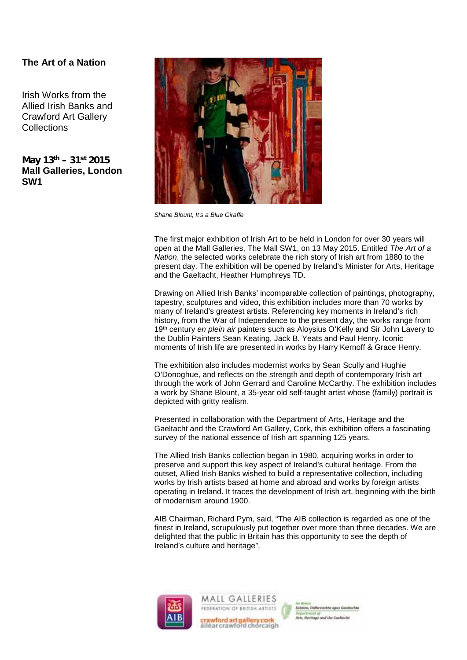# **The Art of a Nation**

Irish Works from the Allied Irish Banks and Crawford Art Gallery **Collections** 

*May 13th – 31st 2015* **Mall Galleries, London SW1**



*Shane Blount, It's a Blue Giraffe*

The first major exhibition of Irish Art to be held in London for over 30 years will open at the Mall Galleries, The Mall SW1, on 13 May 2015. Entitled *The Art of a Nation*, the selected works celebrate the rich story of Irish art from 1880 to the present day. The exhibition will be opened by Ireland's Minister for Arts, Heritage and the Gaeltacht, Heather Humphreys TD.

Drawing on Allied Irish Banks' incomparable collection of paintings, photography, tapestry, sculptures and video, this exhibition includes more than 70 works by many of Ireland's greatest artists. Referencing key moments in Ireland's rich history, from the War of Independence to the present day, the works range from 19th century *en plein air* painters such as Aloysius O'Kelly and Sir John Lavery to the Dublin Painters Sean Keating, Jack B. Yeats and Paul Henry. Iconic moments of Irish life are presented in works by Harry Kernoff & Grace Henry.

The exhibition also includes modernist works by Sean Scully and Hughie O'Donoghue, and reflects on the strength and depth of contemporary Irish art through the work of John Gerrard and Caroline McCarthy. The exhibition includes a work by Shane Blount, a 35-year old self-taught artist whose (family) portrait is depicted with gritty realism.

Presented in collaboration with the Department of Arts, Heritage and the Gaeltacht and the Crawford Art Gallery, Cork, this exhibition offers a fascinating survey of the national essence of Irish art spanning 125 years.

The Allied Irish Banks collection began in 1980, acquiring works in order to preserve and support this key aspect of Ireland's cultural heritage. From the outset, Allied Irish Banks wished to build a representative collection, including works by Irish artists based at home and abroad and works by foreign artists operating in Ireland. It traces the development of Irish art, beginning with the birth of modernism around 1900.

AIB Chairman, Richard Pym, said, "The AIB collection is regarded as one of the finest in Ireland, scrupulously put together over more than three decades. We are delighted that the public in Britain has this opportunity to see the depth of Ireland's culture and heritage".





c<mark>rawford art gallery cork</mark><br>alléar crawford chorcaigh

**HE OLIN**  $10 - 6 - 6$